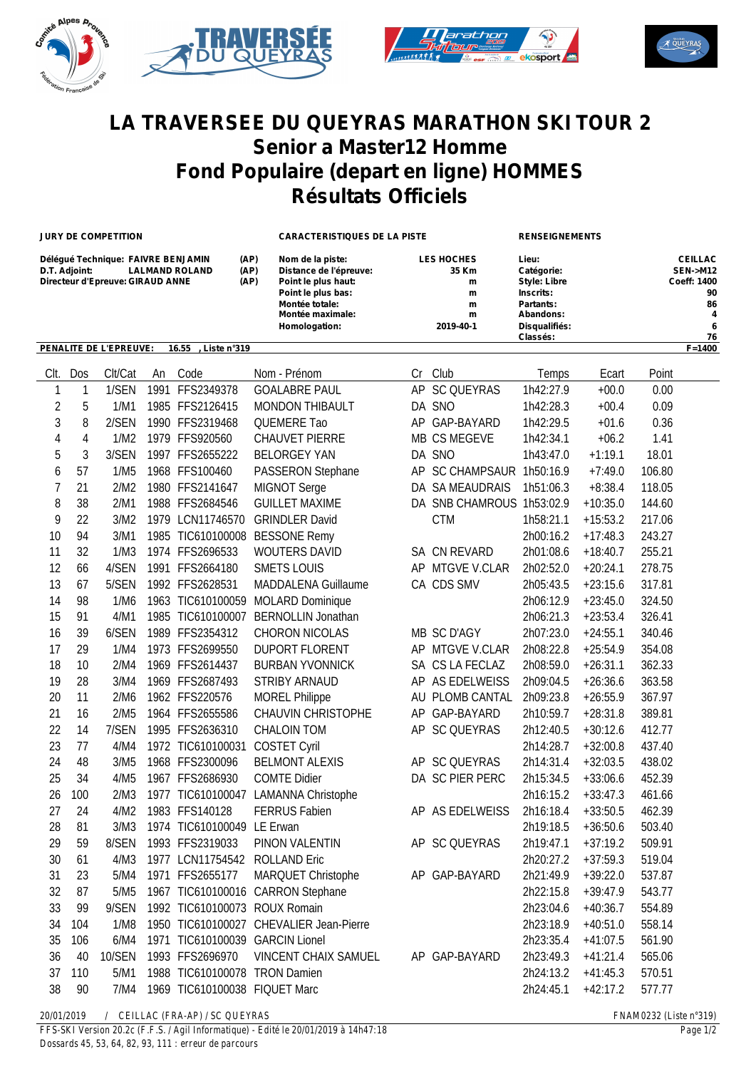





## **LA TRAVERSEE DU QUEYRAS MARATHON SKI TOUR 2 Senior a Master12 Homme Fond Populaire (depart en ligne) HOMMES Résultats Officiels**

**JURY DE COMPETITION CARACTERISTIQUES DE LA PISTE RENSEIGNEMENTS**

| Délégué Technique: FAIVRE BENJAMIN                   | (AP) | Nom de la piste:       | <b>LES HOCHES</b> | Lieu:               | <b>CEILLAC</b>     |
|------------------------------------------------------|------|------------------------|-------------------|---------------------|--------------------|
| <b>LALMAND ROLAND</b><br>D.T. Adjoint:               | (AP) | Distance de l'épreuve: | 35 Km             | Catégorie:          | SEN->M12           |
| Directeur d'Epreuve: GIRAUD ANNE                     | (AP) | Point le plus haut:    | m                 | <b>Style: Libre</b> | <b>Coeff: 1400</b> |
|                                                      |      | Point le plus bas:     | m                 | Inscrits:           | 90                 |
|                                                      |      | Montée totale:         | m                 | Partants:           | 86                 |
|                                                      |      | Montée maximale:       | m                 | Abandons:           | 4                  |
|                                                      |      | Homologation:          | 2019-40-1         | Disqualifiés:       | 6                  |
|                                                      |      |                        |                   | Classés:            | 76                 |
| <b>PENALITE DE L'EPREUVE:</b><br>16.55 . Liste n°319 |      |                        |                   |                     | $F = 1400$         |

| CIt.                    | Dos        | Clt/Cat | An | Code                          | Nom - Prénom                            | Cr | Club                      | Temps     | Ecart      | Point  |
|-------------------------|------------|---------|----|-------------------------------|-----------------------------------------|----|---------------------------|-----------|------------|--------|
| 1                       | 1          | 1/SEN   |    | 1991 FFS2349378               | <b>GOALABRE PAUL</b>                    |    | AP SC QUEYRAS             | 1h42:27.9 | $+00.0$    | 0.00   |
| $\overline{\mathbf{c}}$ | 5          | 1/M1    |    | 1985 FFS2126415               | <b>MONDON THIBAULT</b>                  |    | DA SNO                    | 1h42:28.3 | $+00.4$    | 0.09   |
| 3                       | 8          | 2/SEN   |    | 1990 FFS2319468               | <b>QUEMERE Tao</b>                      |    | AP GAP-BAYARD             | 1h42:29.5 | $+01.6$    | 0.36   |
| 4                       | $\sqrt{4}$ | 1/M2    |    | 1979 FFS920560                | CHAUVET PIERRE                          |    | MB CS MEGEVE              | 1h42:34.1 | $+06.2$    | 1.41   |
| 5                       | 3          | 3/SEN   |    | 1997 FFS2655222               | <b>BELORGEY YAN</b>                     |    | DA SNO                    | 1h43:47.0 | $+1:19.1$  | 18.01  |
| 6                       | 57         | 1/M5    |    | 1968 FFS100460                | PASSERON Stephane                       |    | AP SC CHAMPSAUR 1h50:16.9 |           | $+7:49.0$  | 106.80 |
| $\overline{1}$          | 21         | 2/M2    |    | 1980 FFS2141647               | MIGNOT Serge                            |    | DA SA MEAUDRAIS           | 1h51:06.3 | $+8:38.4$  | 118.05 |
| 8                       | 38         | 2/M1    |    | 1988 FFS2684546               | <b>GUILLET MAXIME</b>                   |    | DA SNB CHAMROUS 1h53:02.9 |           | $+10:35.0$ | 144.60 |
| 9                       | 22         | 3/M2    |    | 1979 LCN11746570              | <b>GRINDLER David</b>                   |    | <b>CTM</b>                | 1h58:21.1 | $+15:53.2$ | 217.06 |
| 10                      | 94         | 3/M1    |    | 1985 TIC610100008             | <b>BESSONE Remy</b>                     |    |                           | 2h00:16.2 | $+17:48.3$ | 243.27 |
| 11                      | 32         | 1/M3    |    | 1974 FFS2696533               | WOUTERS DAVID                           |    | SA CN REVARD              | 2h01:08.6 | $+18:40.7$ | 255.21 |
| 12                      | 66         | 4/SEN   |    | 1991 FFS2664180               | <b>SMETS LOUIS</b>                      |    | AP MTGVE V.CLAR           | 2h02:52.0 | $+20:24.1$ | 278.75 |
| 13                      | 67         | 5/SEN   |    | 1992 FFS2628531               | MADDALENA Guillaume                     |    | CA CDS SMV                | 2h05:43.5 | $+23:15.6$ | 317.81 |
| 14                      | 98         | 1/M6    |    | 1963 TIC610100059             | <b>MOLARD Dominique</b>                 |    |                           | 2h06:12.9 | $+23:45.0$ | 324.50 |
| 15                      | 91         | 4/M1    |    | 1985 TIC610100007             | <b>BERNOLLIN Jonathan</b>               |    |                           | 2h06:21.3 | $+23:53.4$ | 326.41 |
| 16                      | 39         | 6/SEN   |    | 1989 FFS2354312               | CHORON NICOLAS                          |    | MB SC D'AGY               | 2h07:23.0 | $+24:55.1$ | 340.46 |
| 17                      | 29         | 1/M4    |    | 1973 FFS2699550               | <b>DUPORT FLORENT</b>                   |    | AP MTGVE V.CLAR           | 2h08:22.8 | $+25:54.9$ | 354.08 |
| 18                      | 10         | 2/M4    |    | 1969 FFS2614437               | <b>BURBAN YVONNICK</b>                  |    | SA CS LA FECLAZ           | 2h08:59.0 | $+26:31.1$ | 362.33 |
| 19                      | 28         | 3/M4    |    | 1969 FFS2687493               | <b>STRIBY ARNAUD</b>                    |    | AP AS EDELWEISS           | 2h09:04.5 | $+26:36.6$ | 363.58 |
| 20                      | 11         | 2/M6    |    | 1962 FFS220576                | <b>MOREL Philippe</b>                   |    | AU PLOMB CANTAL           | 2h09:23.8 | $+26:55.9$ | 367.97 |
| 21                      | 16         | 2/M5    |    | 1964 FFS2655586               | <b>CHAUVIN CHRISTOPHE</b>               |    | AP GAP-BAYARD             | 2h10:59.7 | $+28:31.8$ | 389.81 |
| 22                      | 14         | 7/SEN   |    | 1995 FFS2636310               | <b>CHALOIN TOM</b>                      |    | AP SC QUEYRAS             | 2h12:40.5 | $+30:12.6$ | 412.77 |
| 23                      | 77         | 4/M4    |    | 1972 TIC610100031             | <b>COSTET Cyril</b>                     |    |                           | 2h14:28.7 | $+32:00.8$ | 437.40 |
| 24                      | 48         | 3/M5    |    | 1968 FFS2300096               | <b>BELMONT ALEXIS</b>                   |    | AP SC QUEYRAS             | 2h14:31.4 | $+32:03.5$ | 438.02 |
| 25                      | 34         | 4/M5    |    | 1967 FFS2686930               | <b>COMTE Didier</b>                     |    | DA SC PIER PERC           | 2h15:34.5 | $+33:06.6$ | 452.39 |
| 26                      | 100        | 2/M3    |    | 1977 TIC610100047             | <b>LAMANNA Christophe</b>               |    |                           | 2h16:15.2 | $+33:47.3$ | 461.66 |
| 27                      | 24         | 4/M2    |    | 1983 FFS140128                | <b>FERRUS Fabien</b>                    |    | AP AS EDELWEISS           | 2h16:18.4 | $+33:50.5$ | 462.39 |
| 28                      | 81         | 3/M3    |    | 1974 TIC610100049 LE Erwan    |                                         |    |                           | 2h19:18.5 | $+36:50.6$ | 503.40 |
| 29                      | 59         | 8/SEN   |    | 1993 FFS2319033               | PINON VALENTIN                          |    | AP SC QUEYRAS             | 2h19:47.1 | $+37:19.2$ | 509.91 |
| 30                      | 61         | 4/M3    |    | 1977 LCN11754542              | <b>ROLLAND Eric</b>                     |    |                           | 2h20:27.2 | $+37:59.3$ | 519.04 |
| 31                      | 23         | 5/M4    |    | 1971 FFS2655177               | MARQUET Christophe                      |    | AP GAP-BAYARD             | 2h21:49.9 | $+39:22.0$ | 537.87 |
| 32                      | 87         | 5/M5    |    |                               | 1967 TIC610100016 CARRON Stephane       |    |                           | 2h22:15.8 | $+39:47.9$ | 543.77 |
| 33                      | 99         | 9/SEN   |    | 1992 TIC610100073 ROUX Romain |                                         |    |                           | 2h23:04.6 | $+40:36.7$ | 554.89 |
| 34                      | 104        | 1/M8    |    |                               | 1950 TIC610100027 CHEVALIER Jean-Pierre |    |                           | 2h23:18.9 | $+40:51.0$ | 558.14 |
| 35                      | 106        | 6/M4    |    |                               | 1971 TIC610100039 GARCIN Lionel         |    |                           | 2h23:35.4 | $+41:07.5$ | 561.90 |
| 36                      | 40         | 10/SEN  |    | 1993 FFS2696970               | <b>VINCENT CHAIX SAMUEL</b>             |    | AP GAP-BAYARD             | 2h23:49.3 | $+41:21.4$ | 565.06 |
| 37                      | 110        | 5/M1    |    | 1988 TIC610100078 TRON Damien |                                         |    |                           | 2h24:13.2 | $+41:45.3$ | 570.51 |
| 38                      | 90         | 7/M4    |    | 1969 TIC610100038 FIQUET Marc |                                         |    |                           | 2h24:45.1 | $+42:17.2$ | 577.77 |
|                         |            |         |    |                               |                                         |    |                           |           |            |        |

*20/01/2019 / CEILLAC (FRA-AP) / SC QUEYRAS FNAM0232 (Liste n°319)*